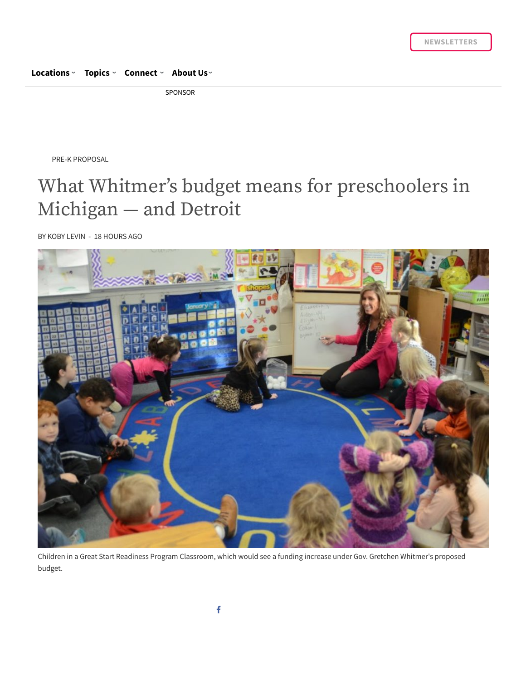#### **[Locations](https://chalkbeat.org/) › [Topics](https://chalkbeat.org/) › [Connect](https://chalkbeat.org/contact/) › [About](https://chalkbeat.org/) Us ›**

SPONSOR

PRE-K PROPOSAL

# What Whitmer's budget means for preschoolers in Michigan — and Detroit

BY KOBY [LEVIN](https://chalkbeat.org/author/klevin/) - 18 HOURS AGO



Children in a Great Start Readiness Program Classroom, which would see a funding increase under Gov. Gretchen Whitmer's proposed budget.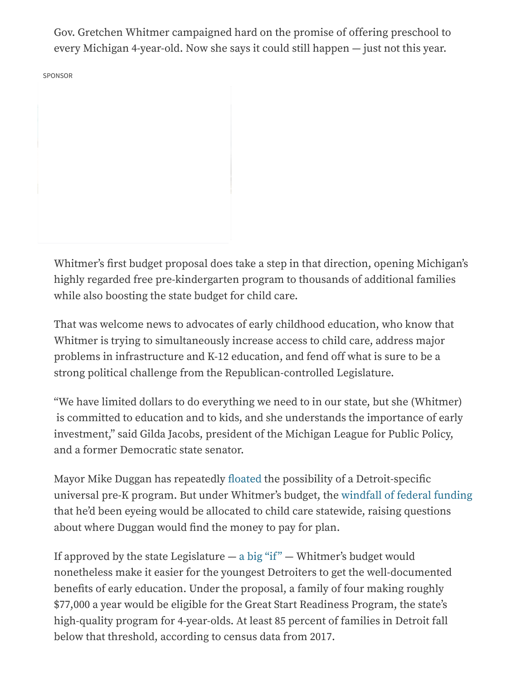Gov. Gretchen Whitmer campaigned hard on the promise of offering preschool to every Michigan 4-year-old. Now she says it could still happen — just not this year.

SPONSOR

Whitmer's first budget proposal does take a step in that direction, opening Michigan's highly regarded free pre-kindergarten program to thousands of additional families while also boosting the state budget for child care.

That was welcome news to advocates of early childhood education, who know that Whitmer is trying to simultaneously increase access to child care, address major problems in infrastructure and K-12 education, and fend off what is sure to be a strong political challenge from the Republican-controlled Legislature.

"We have limited dollars to do everything we need to in our state, but she (Whitmer) is committed to education and to kids, and she understands the importance of early investment," said Gilda Jacobs, president of the Michigan League for Public Policy, and a former Democratic state senator.

Mayor Mike Duggan has repeatedly fl[oated](https://www.detroitnews.com/story/news/local/detroit-city/2019/01/22/duggan-universal-preschool-detroit-neighborhood-growth/2608023002/) the possibility of a Detroit-specific universal pre-K program. But under Whitmer's budget, the [windfall](https://www.chalkbeat.org/posts/detroit/2019/02/07/universal-pre-k-for-detroit-affordable-child-care-how-will-michigan-spend-new-federal-funds/) of federal funding that he'd been eyeing would be allocated to child care statewide, raising questions about where Duggan would find the money to pay for plan.

If approved by the state Legislature  $-$  a big ["if"](https://www.chalkbeat.org/posts/detroit/2019/03/05/gretchen-whitmer-wants-to-boost-school-funding-in-michigan-does-she-have-a-chance/)  $-$  Whitmer's budget would nonetheless make it easier for the youngest Detroiters to get the well-documented benefits of early education. Under the proposal, a family of four making roughly \$77,000 a year would be eligible for the Great Start Readiness Program, the state's high-quality program for 4-year-olds. At least 85 percent of families in Detroit fall below that threshold, according to census data from 2017.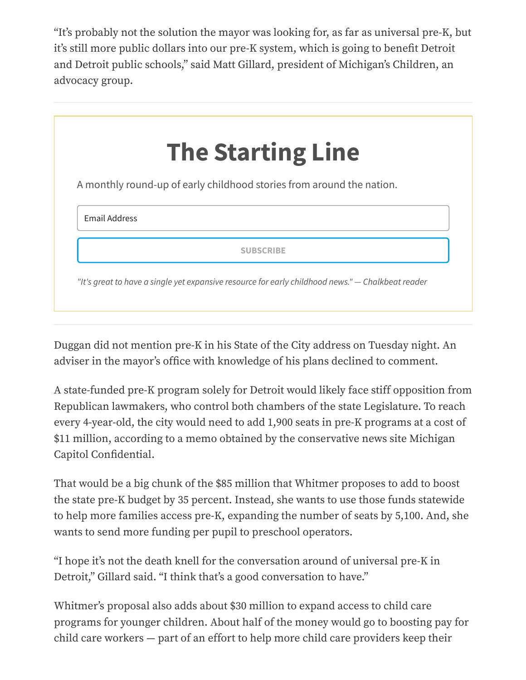"It's probably not the solution the mayor was looking for, as far as universal pre-K, but it's still more public dollars into our pre-K system, which is going to benefit Detroit and Detroit public schools," said Matt Gillard, president of Michigan's Children, an advocacy group.



Duggan did not mention pre-K in his State of the City address on Tuesday night. An adviser in the mayor's office with knowledge of his plans declined to comment.

A state-funded pre-K program solely for Detroit would likely face stiff opposition from Republican lawmakers, who control both chambers of the state Legislature. To reach every 4-year-old, the city would need to add 1,900 seats in pre-K programs at a cost of \$11 million, according to a memo obtained by the conservative news site Michigan Capitol Confidential.

That would be a big chunk of the \$85 million that Whitmer proposes to add to boost the state pre-K budget by 35 percent. Instead, she wants to use those funds statewide to help more families access pre-K, expanding the number of seats by 5,100. And, she wants to send more funding per pupil to preschool operators.

"I hope it's not the death knell for the conversation around of universal pre-K in Detroit," Gillard said. "I think that's a good conversation to have."

Whitmer's proposal also adds about \$30 million to expand access to child care programs for younger children. About half of the money would go to boosting pay for child care workers — part of an effort to help more child care providers keep their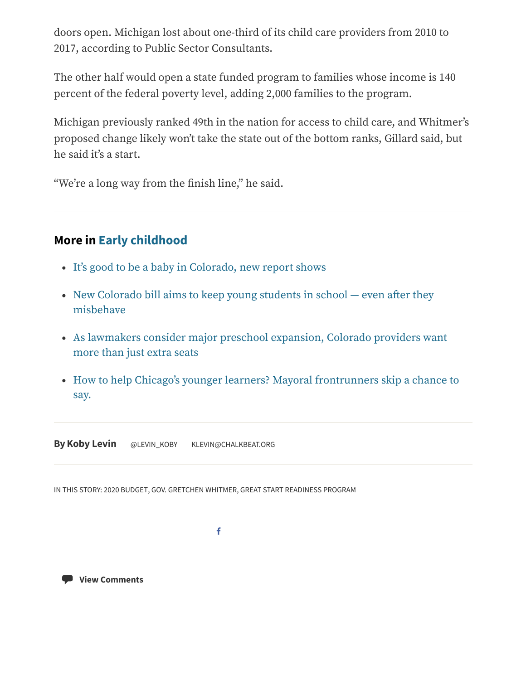doors open. Michigan lost about one-third of its child care providers from 2010 to 2017, according to Public Sector Consultants.

The other half would open a state funded program to families whose income is 140 percent of the federal poverty level, adding 2,000 families to the program.

Michigan previously ranked 49th in the nation for access to child care, and Whitmer's proposed change likely won't take the state out of the bottom ranks, Gillard said, but he said it's a start.

"We're a long way from the finish line," he said.

## **More in [Early childhood](https://chalkbeat.org/series/the-search-for-quality-and-equity-in-ece/)**

- It's good to be a baby [in Colorado,](https://chalkbeat.org/posts/co/2019/02/26/its-good-to-be-a-baby-in-colorado-new-report-shows/) new report shows
- New Colorado bill aims to keep [young students](https://chalkbeat.org/posts/co/2019/02/21/new-colorado-bill-aims-to-keep-young-students-in-school-even-after-they-misbehave/) in school  $-$  even after they misbehave
- As lawmakers consider major preschool [expansion,](https://chalkbeat.org/posts/co/2019/02/14/as-lawmakers-consider-major-preschool-expansion-colorado-providers-want-more-than-just-extra-seats/) Colorado providers want more than just extra seats
- How to help Chicago's younger learners? Mayoral [frontrunners](https://chalkbeat.org/posts/chicago/2019/02/11/how-to-help-chicagos-younger-learners-mayoral-frontrunners-skip-a-chance-to-say/) skip a chance to say.

**ByKoby [Levin](https://chalkbeat.org/author/klevin/)** [@LEVIN\\_KOBY](https://twitter.com/levin_koby) [KLEVIN@CHALKBEAT.ORG](mailto:klevin@chalkbeat.org)

IN THIS STORY: 2020 [BUDGET](https://chalkbeat.org/tag/2020-budget/), GOV. [GRETCHEN](https://chalkbeat.org/tag/gov-gretchen-whitmer/) WHITMER, GREAT START [READINESS](https://chalkbeat.org/tag/great-start-readiness-program/) PROGRAM

f

**View [Comments](https://chalkbeat.org/posts/detroit/2019/03/06/what-whitmers-budget-means-for-preschoolers-in-michigan-and-detroit/?comments=true#disqus_thread)**